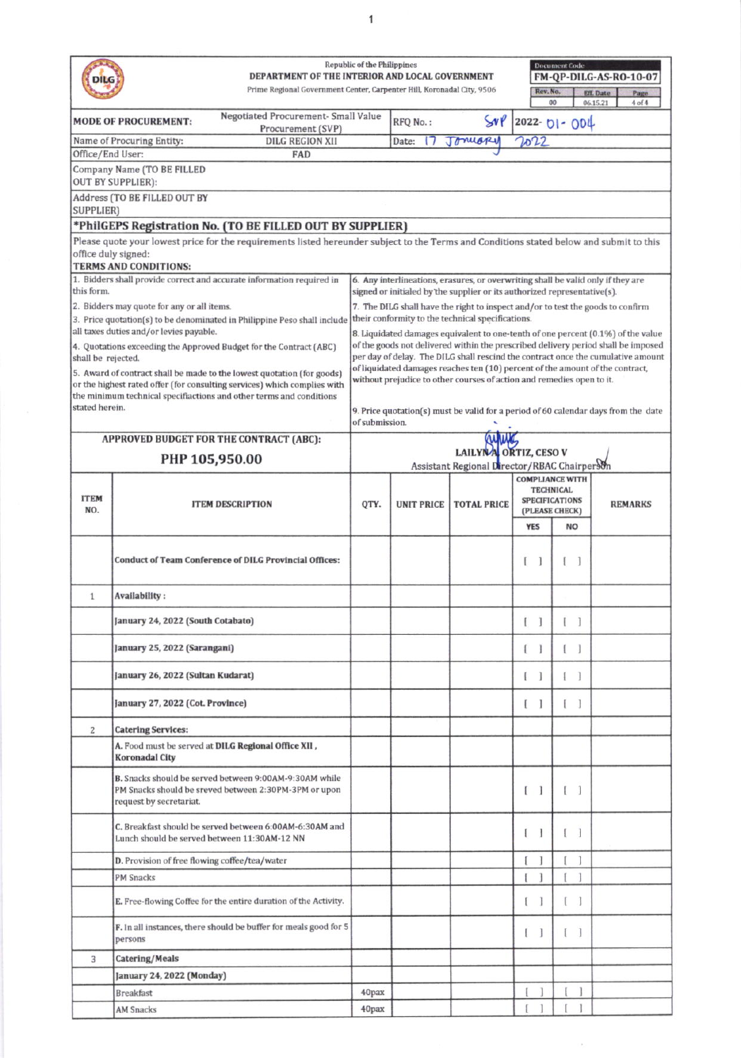|                                                                                                                                                                 | DEPARTMENT OF THE INTERIOR AND LOCAL GOVERNMENT<br>Prime Regional Government Center, Carpenter Hill, Koronadal City, 9506                          | <b>Republic of the Philippines</b>                                                                                                                           |                   |                                                                               | Rev. No.                                  | <b>Document Code</b><br>00        | FM-QP-DILG-AS-RO-10-07<br><b>Eff.</b> Date<br>Page<br>06.15.21<br>$4$ of $4$                                                                                          |  |  |  |  |
|-----------------------------------------------------------------------------------------------------------------------------------------------------------------|----------------------------------------------------------------------------------------------------------------------------------------------------|--------------------------------------------------------------------------------------------------------------------------------------------------------------|-------------------|-------------------------------------------------------------------------------|-------------------------------------------|-----------------------------------|-----------------------------------------------------------------------------------------------------------------------------------------------------------------------|--|--|--|--|
|                                                                                                                                                                 | Negotiated Procurement- Small Value<br><b>MODE OF PROCUREMENT:</b>                                                                                 |                                                                                                                                                              | RFQ No.:          | SNP                                                                           |                                           | $2022 - 01 - 004$                 |                                                                                                                                                                       |  |  |  |  |
|                                                                                                                                                                 | Procurement (SVP)<br>Name of Procuring Entity:<br><b>DILG REGION XII</b>                                                                           |                                                                                                                                                              | Date:             | Jonuary                                                                       | 2022                                      |                                   |                                                                                                                                                                       |  |  |  |  |
| Office/End User:                                                                                                                                                | <b>FAD</b>                                                                                                                                         |                                                                                                                                                              |                   |                                                                               |                                           |                                   |                                                                                                                                                                       |  |  |  |  |
|                                                                                                                                                                 | Company Name (TO BE FILLED                                                                                                                         |                                                                                                                                                              |                   |                                                                               |                                           |                                   |                                                                                                                                                                       |  |  |  |  |
|                                                                                                                                                                 | <b>OUT BY SUPPLIER):</b><br>Address (TO BE FILLED OUT BY                                                                                           |                                                                                                                                                              |                   |                                                                               |                                           |                                   |                                                                                                                                                                       |  |  |  |  |
| <b>SUPPLIER)</b>                                                                                                                                                |                                                                                                                                                    |                                                                                                                                                              |                   |                                                                               |                                           |                                   |                                                                                                                                                                       |  |  |  |  |
|                                                                                                                                                                 | *PhilGEPS Registration No. (TO BE FILLED OUT BY SUPPLIER)                                                                                          |                                                                                                                                                              |                   |                                                                               |                                           |                                   |                                                                                                                                                                       |  |  |  |  |
| Please quote your lowest price for the requirements listed hereunder subject to the Terms and Conditions stated below and submit to this<br>office duly signed: |                                                                                                                                                    |                                                                                                                                                              |                   |                                                                               |                                           |                                   |                                                                                                                                                                       |  |  |  |  |
|                                                                                                                                                                 | <b>TERMS AND CONDITIONS:</b>                                                                                                                       |                                                                                                                                                              |                   |                                                                               |                                           |                                   |                                                                                                                                                                       |  |  |  |  |
| this form.                                                                                                                                                      | 1. Bidders shall provide correct and accurate information required in                                                                              | 6. Any interlineations, erasures, or overwriting shall be valid only if they are<br>signed or initialed by the supplier or its authorized representative(s). |                   |                                                                               |                                           |                                   |                                                                                                                                                                       |  |  |  |  |
|                                                                                                                                                                 | 2. Bidders may quote for any or all items.                                                                                                         | 7. The DILG shall have the right to inspect and/or to test the goods to confirm                                                                              |                   |                                                                               |                                           |                                   |                                                                                                                                                                       |  |  |  |  |
|                                                                                                                                                                 | 3. Price quotation(s) to be denominated in Philippine Peso shall include<br>all taxes duties and/or levies payable.                                |                                                                                                                                                              |                   | their conformity to the technical specifications.                             |                                           |                                   |                                                                                                                                                                       |  |  |  |  |
|                                                                                                                                                                 | 4. Quotations exceeding the Approved Budget for the Contract (ABC)                                                                                 |                                                                                                                                                              |                   |                                                                               |                                           |                                   | 8. Liquidated damages equivalent to one-tenth of one percent (0.1%) of the value<br>of the goods not delivered within the prescribed delivery period shall be imposed |  |  |  |  |
| shall be rejected.                                                                                                                                              |                                                                                                                                                    |                                                                                                                                                              |                   | of liquidated damages reaches ten (10) percent of the amount of the contract, |                                           |                                   | per day of delay. The DILG shall rescind the contract once the cumulative amount                                                                                      |  |  |  |  |
|                                                                                                                                                                 | 5. Award of contract shall be made to the lowest quotation (for goods)<br>or the highest rated offer (for consulting services) which complies with |                                                                                                                                                              |                   | without prejudice to other courses of action and remedies open to it.         |                                           |                                   |                                                                                                                                                                       |  |  |  |  |
|                                                                                                                                                                 | the minimum technical specifiactions and other terms and conditions                                                                                |                                                                                                                                                              |                   |                                                                               |                                           |                                   |                                                                                                                                                                       |  |  |  |  |
| stated herein.                                                                                                                                                  |                                                                                                                                                    | of submission.                                                                                                                                               |                   |                                                                               |                                           |                                   | 9. Price quotation(s) must be valid for a period of 60 calendar days from the date                                                                                    |  |  |  |  |
|                                                                                                                                                                 | <b>APPROVED BUDGET FOR THE CONTRACT (ABC):</b>                                                                                                     |                                                                                                                                                              |                   |                                                                               |                                           |                                   |                                                                                                                                                                       |  |  |  |  |
| PHP 105,950.00                                                                                                                                                  |                                                                                                                                                    |                                                                                                                                                              |                   | LAILYNA ORTIZ, CESO V<br>Assistant Regional Director/RBAC Chairperson         |                                           |                                   |                                                                                                                                                                       |  |  |  |  |
|                                                                                                                                                                 |                                                                                                                                                    |                                                                                                                                                              |                   |                                                                               | <b>COMPLIANCE WITH</b>                    |                                   |                                                                                                                                                                       |  |  |  |  |
| <b>ITEM</b>                                                                                                                                                     |                                                                                                                                                    |                                                                                                                                                              |                   |                                                                               | <b>TECHNICAL</b><br><b>SPECIFICATIONS</b> |                                   |                                                                                                                                                                       |  |  |  |  |
| NO.                                                                                                                                                             | <b>ITEM DESCRIPTION</b>                                                                                                                            | QTY.                                                                                                                                                         | <b>UNIT PRICE</b> | <b>TOTAL PRICE</b>                                                            | (PLEASE CHECK)                            |                                   | <b>REMARKS</b>                                                                                                                                                        |  |  |  |  |
|                                                                                                                                                                 |                                                                                                                                                    |                                                                                                                                                              |                   |                                                                               | <b>YES</b>                                | <b>NO</b>                         |                                                                                                                                                                       |  |  |  |  |
|                                                                                                                                                                 | <b>Conduct of Team Conference of DILG Provincial Offices:</b>                                                                                      |                                                                                                                                                              |                   |                                                                               |                                           | 1                                 |                                                                                                                                                                       |  |  |  |  |
| $\mathbf{1}$                                                                                                                                                    | Availability:                                                                                                                                      |                                                                                                                                                              |                   |                                                                               |                                           |                                   |                                                                                                                                                                       |  |  |  |  |
|                                                                                                                                                                 | January 24, 2022 (South Cotabato)                                                                                                                  |                                                                                                                                                              |                   |                                                                               | J                                         |                                   |                                                                                                                                                                       |  |  |  |  |
|                                                                                                                                                                 | January 25, 2022 (Sarangani)                                                                                                                       |                                                                                                                                                              |                   |                                                                               | 1<br>€                                    | $\mathbb{I}$<br>-1                |                                                                                                                                                                       |  |  |  |  |
|                                                                                                                                                                 | January 26, 2022 (Sultan Kudarat)                                                                                                                  |                                                                                                                                                              |                   |                                                                               | 1<br>L                                    | ſ<br>$\mathbf{1}$                 |                                                                                                                                                                       |  |  |  |  |
|                                                                                                                                                                 | January 27, 2022 (Cot. Province)                                                                                                                   |                                                                                                                                                              |                   |                                                                               | 1<br>L                                    | $\lceil$<br>L                     |                                                                                                                                                                       |  |  |  |  |
| 2                                                                                                                                                               | <b>Catering Services:</b>                                                                                                                          |                                                                                                                                                              |                   |                                                                               |                                           |                                   |                                                                                                                                                                       |  |  |  |  |
|                                                                                                                                                                 | A. Food must be served at DILG Regional Office XII,<br><b>Koronadal City</b>                                                                       |                                                                                                                                                              |                   |                                                                               |                                           |                                   |                                                                                                                                                                       |  |  |  |  |
|                                                                                                                                                                 | B. Snacks should be served between 9:00AM-9:30AM while<br>PM Snacks should be sreved between 2:30PM-3PM or upon<br>request by secretariat.         |                                                                                                                                                              |                   |                                                                               | $\begin{bmatrix} 1 \end{bmatrix}$         | $\begin{bmatrix} 1 \end{bmatrix}$ |                                                                                                                                                                       |  |  |  |  |
|                                                                                                                                                                 | C. Breakfast should be served between 6:00AM-6:30AM and<br>Lunch should be served between 11:30AM-12 NN                                            |                                                                                                                                                              |                   |                                                                               | 1<br>L                                    | $\mathbf{I}$                      |                                                                                                                                                                       |  |  |  |  |
|                                                                                                                                                                 | D. Provision of free flowing coffee/tea/water                                                                                                      |                                                                                                                                                              |                   |                                                                               | ſ                                         | 1                                 |                                                                                                                                                                       |  |  |  |  |
|                                                                                                                                                                 | <b>PM Snacks</b>                                                                                                                                   |                                                                                                                                                              |                   |                                                                               | Ĭ                                         |                                   |                                                                                                                                                                       |  |  |  |  |
|                                                                                                                                                                 | E. Free-flowing Coffee for the entire duration of the Activity.                                                                                    |                                                                                                                                                              |                   |                                                                               | I                                         | 1                                 |                                                                                                                                                                       |  |  |  |  |
|                                                                                                                                                                 | F. In all instances, there should be buffer for meals good for 5<br>persons                                                                        |                                                                                                                                                              |                   |                                                                               | 1<br>L                                    | -1<br>$\mathbb{I}$                |                                                                                                                                                                       |  |  |  |  |
| 3                                                                                                                                                               | Catering/Meals                                                                                                                                     |                                                                                                                                                              |                   |                                                                               |                                           |                                   |                                                                                                                                                                       |  |  |  |  |
|                                                                                                                                                                 | January 24, 2022 (Monday)                                                                                                                          |                                                                                                                                                              |                   |                                                                               |                                           |                                   |                                                                                                                                                                       |  |  |  |  |
|                                                                                                                                                                 | <b>Breakfast</b>                                                                                                                                   | 40pax                                                                                                                                                        |                   |                                                                               | 1                                         |                                   |                                                                                                                                                                       |  |  |  |  |
|                                                                                                                                                                 | <b>AM Snacks</b>                                                                                                                                   | 40pax                                                                                                                                                        |                   |                                                                               |                                           |                                   |                                                                                                                                                                       |  |  |  |  |

 $\bar{\nu}$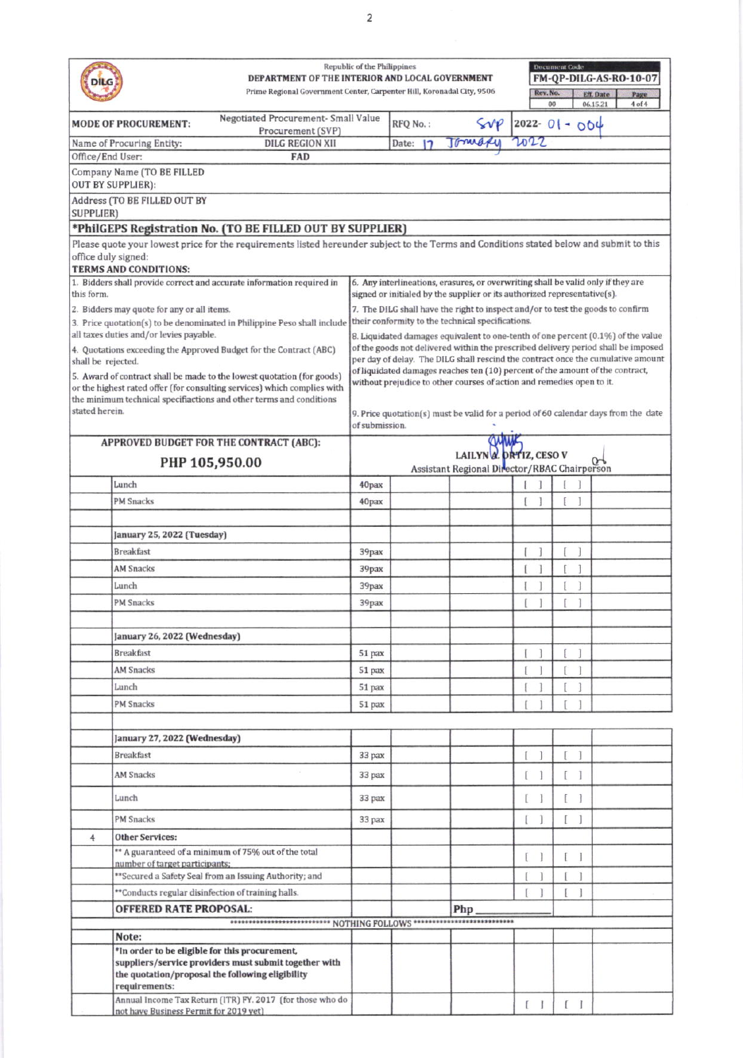|                                                                                         |                                                        | DEPARTMENT OF THE INTERIOR AND LOCAL GOVERNMENT                                                                                                             | Republic of the Philippines                                                                          |          |                                                                                                                                                              |                                   | <b>Document Code</b> | FM-QP-DILG-AS-RO-10-07                                                                                                                                                |  |  |  |  |
|-----------------------------------------------------------------------------------------|--------------------------------------------------------|-------------------------------------------------------------------------------------------------------------------------------------------------------------|------------------------------------------------------------------------------------------------------|----------|--------------------------------------------------------------------------------------------------------------------------------------------------------------|-----------------------------------|----------------------|-----------------------------------------------------------------------------------------------------------------------------------------------------------------------|--|--|--|--|
|                                                                                         |                                                        | Prime Regional Government Center, Carpenter Hill, Koronadal City, 9506                                                                                      |                                                                                                      |          |                                                                                                                                                              | Rev. No.<br>00                    |                      | <b>Eff.</b> Date<br>Page<br>06.15.21<br>$4$ of $4$                                                                                                                    |  |  |  |  |
| Negotiated Procurement- Small Value<br><b>MODE OF PROCUREMENT:</b><br>Procurement (SVP) |                                                        |                                                                                                                                                             |                                                                                                      | RFQ No.: | Svp                                                                                                                                                          | $ 2022 - 0  - 004$                |                      |                                                                                                                                                                       |  |  |  |  |
|                                                                                         | Name of Procuring Entity:                              | <b>DILG REGION XII</b>                                                                                                                                      |                                                                                                      | Date:    | Tomary                                                                                                                                                       | 2022                              |                      |                                                                                                                                                                       |  |  |  |  |
| Office/End User:                                                                        |                                                        | FAD                                                                                                                                                         |                                                                                                      |          |                                                                                                                                                              |                                   |                      |                                                                                                                                                                       |  |  |  |  |
|                                                                                         | Company Name (TO BE FILLED<br><b>OUT BY SUPPLIER):</b> |                                                                                                                                                             |                                                                                                      |          |                                                                                                                                                              |                                   |                      |                                                                                                                                                                       |  |  |  |  |
| <b>SUPPLIER)</b>                                                                        | Address (TO BE FILLED OUT BY                           |                                                                                                                                                             |                                                                                                      |          |                                                                                                                                                              |                                   |                      |                                                                                                                                                                       |  |  |  |  |
|                                                                                         |                                                        | *PhilGEPS Registration No. (TO BE FILLED OUT BY SUPPLIER)                                                                                                   |                                                                                                      |          |                                                                                                                                                              |                                   |                      |                                                                                                                                                                       |  |  |  |  |
| office duly signed:                                                                     |                                                        | Please quote your lowest price for the requirements listed hereunder subject to the Terms and Conditions stated below and submit to this                    |                                                                                                      |          |                                                                                                                                                              |                                   |                      |                                                                                                                                                                       |  |  |  |  |
|                                                                                         | <b>TERMS AND CONDITIONS:</b>                           |                                                                                                                                                             |                                                                                                      |          |                                                                                                                                                              |                                   |                      |                                                                                                                                                                       |  |  |  |  |
| this form.                                                                              |                                                        | 1. Bidders shall provide correct and accurate information required in                                                                                       |                                                                                                      |          | 6. Any interlineations, erasures, or overwriting shall be valid only if they are<br>signed or initialed by the supplier or its authorized representative(s). |                                   |                      |                                                                                                                                                                       |  |  |  |  |
|                                                                                         | 2. Bidders may quote for any or all items.             |                                                                                                                                                             |                                                                                                      |          | 7. The DILG shall have the right to inspect and/or to test the goods to confirm                                                                              |                                   |                      |                                                                                                                                                                       |  |  |  |  |
|                                                                                         |                                                        | 3. Price quotation(s) to be denominated in Philippine Peso shall include                                                                                    | their conformity to the technical specifications.                                                    |          |                                                                                                                                                              |                                   |                      |                                                                                                                                                                       |  |  |  |  |
|                                                                                         | all taxes duties and/or levies payable.                |                                                                                                                                                             |                                                                                                      |          |                                                                                                                                                              |                                   |                      | 8. Liquidated damages equivalent to one-tenth of one percent (0.1%) of the value<br>of the goods not delivered within the prescribed delivery period shall be imposed |  |  |  |  |
| shall be rejected.                                                                      |                                                        | 4. Quotations exceeding the Approved Budget for the Contract (ABC)                                                                                          |                                                                                                      |          |                                                                                                                                                              |                                   |                      | per day of delay. The DILG shall rescind the contract once the cumulative amount                                                                                      |  |  |  |  |
|                                                                                         |                                                        | 5. Award of contract shall be made to the lowest quotation (for goods)                                                                                      |                                                                                                      |          | of liquidated damages reaches ten (10) percent of the amount of the contract,                                                                                |                                   |                      |                                                                                                                                                                       |  |  |  |  |
|                                                                                         |                                                        | or the highest rated offer (for consulting services) which complies with                                                                                    |                                                                                                      |          | without prejudice to other courses of action and remedies open to it.                                                                                        |                                   |                      |                                                                                                                                                                       |  |  |  |  |
| stated herein.                                                                          |                                                        | the minimum technical specifiactions and other terms and conditions                                                                                         | 9. Price quotation(s) must be valid for a period of 60 calendar days from the date<br>of submission. |          |                                                                                                                                                              |                                   |                      |                                                                                                                                                                       |  |  |  |  |
|                                                                                         |                                                        | APPROVED BUDGET FOR THE CONTRACT (ABC):                                                                                                                     |                                                                                                      |          |                                                                                                                                                              |                                   |                      |                                                                                                                                                                       |  |  |  |  |
|                                                                                         |                                                        | PHP 105,950.00                                                                                                                                              | LAILYN A. DRTIZ, CESO V<br>Assistant Regional Director/RBAC Chairperson                              |          |                                                                                                                                                              |                                   |                      |                                                                                                                                                                       |  |  |  |  |
|                                                                                         | Lunch                                                  |                                                                                                                                                             | 40pax                                                                                                |          |                                                                                                                                                              |                                   |                      |                                                                                                                                                                       |  |  |  |  |
|                                                                                         | <b>PM</b> Snacks                                       |                                                                                                                                                             |                                                                                                      |          |                                                                                                                                                              | 1                                 | f                    |                                                                                                                                                                       |  |  |  |  |
|                                                                                         |                                                        |                                                                                                                                                             | 40pax                                                                                                |          |                                                                                                                                                              |                                   |                      |                                                                                                                                                                       |  |  |  |  |
|                                                                                         |                                                        |                                                                                                                                                             |                                                                                                      |          |                                                                                                                                                              |                                   |                      |                                                                                                                                                                       |  |  |  |  |
|                                                                                         | January 25, 2022 (Tuesday)                             |                                                                                                                                                             |                                                                                                      |          |                                                                                                                                                              |                                   |                      |                                                                                                                                                                       |  |  |  |  |
|                                                                                         | <b>Breakfast</b>                                       |                                                                                                                                                             | 39pax                                                                                                |          |                                                                                                                                                              | 1                                 | 1                    |                                                                                                                                                                       |  |  |  |  |
|                                                                                         | <b>AM Snacks</b>                                       |                                                                                                                                                             | 39pax                                                                                                |          |                                                                                                                                                              |                                   |                      |                                                                                                                                                                       |  |  |  |  |
|                                                                                         | Lunch                                                  |                                                                                                                                                             | 39pax                                                                                                |          |                                                                                                                                                              |                                   | 1                    |                                                                                                                                                                       |  |  |  |  |
|                                                                                         | <b>PM Snacks</b>                                       |                                                                                                                                                             | 39pax                                                                                                |          |                                                                                                                                                              |                                   |                      |                                                                                                                                                                       |  |  |  |  |
|                                                                                         |                                                        |                                                                                                                                                             |                                                                                                      |          |                                                                                                                                                              |                                   |                      |                                                                                                                                                                       |  |  |  |  |
|                                                                                         | January 26, 2022 (Wednesday)<br><b>Breakfast</b>       |                                                                                                                                                             |                                                                                                      |          |                                                                                                                                                              | I<br>1                            | ſ<br>1               |                                                                                                                                                                       |  |  |  |  |
|                                                                                         | <b>AM Snacks</b>                                       |                                                                                                                                                             | 51 pax<br>51 pax                                                                                     |          |                                                                                                                                                              |                                   |                      |                                                                                                                                                                       |  |  |  |  |
|                                                                                         | Lunch                                                  |                                                                                                                                                             |                                                                                                      |          |                                                                                                                                                              |                                   |                      |                                                                                                                                                                       |  |  |  |  |
|                                                                                         | <b>PM</b> Snacks                                       |                                                                                                                                                             | 51 pax                                                                                               |          |                                                                                                                                                              |                                   |                      |                                                                                                                                                                       |  |  |  |  |
|                                                                                         |                                                        |                                                                                                                                                             | 51 pax                                                                                               |          |                                                                                                                                                              |                                   |                      |                                                                                                                                                                       |  |  |  |  |
|                                                                                         | January 27, 2022 (Wednesday)                           |                                                                                                                                                             |                                                                                                      |          |                                                                                                                                                              |                                   |                      |                                                                                                                                                                       |  |  |  |  |
|                                                                                         | <b>Breakfast</b>                                       |                                                                                                                                                             | 33 pax                                                                                               |          |                                                                                                                                                              | I<br>1                            | 1<br>I               |                                                                                                                                                                       |  |  |  |  |
|                                                                                         | <b>AM Snacks</b>                                       |                                                                                                                                                             | 33 pax                                                                                               |          |                                                                                                                                                              | 1<br>ſ                            |                      |                                                                                                                                                                       |  |  |  |  |
|                                                                                         | Lunch                                                  |                                                                                                                                                             | 33 pax                                                                                               |          |                                                                                                                                                              | 1<br>L                            |                      |                                                                                                                                                                       |  |  |  |  |
|                                                                                         | PM Snacks                                              |                                                                                                                                                             | 33 pax                                                                                               |          |                                                                                                                                                              | 1<br>Ι                            | 1                    |                                                                                                                                                                       |  |  |  |  |
| 4                                                                                       | <b>Other Services:</b>                                 |                                                                                                                                                             |                                                                                                      |          |                                                                                                                                                              |                                   |                      |                                                                                                                                                                       |  |  |  |  |
|                                                                                         |                                                        | ** A guaranteed of a minimum of 75% out of the total                                                                                                        |                                                                                                      |          |                                                                                                                                                              |                                   | 1                    |                                                                                                                                                                       |  |  |  |  |
|                                                                                         | number of target participants;                         |                                                                                                                                                             |                                                                                                      |          |                                                                                                                                                              |                                   |                      |                                                                                                                                                                       |  |  |  |  |
|                                                                                         |                                                        | ** Secured a Safety Seal from an Issuing Authority; and                                                                                                     |                                                                                                      |          |                                                                                                                                                              |                                   |                      |                                                                                                                                                                       |  |  |  |  |
|                                                                                         |                                                        | **Conducts regular disinfection of training halls.                                                                                                          |                                                                                                      |          |                                                                                                                                                              |                                   | 1                    |                                                                                                                                                                       |  |  |  |  |
|                                                                                         | <b>OFFERED RATE PROPOSAL:</b>                          | ************************** NOTHING FOLLOWS *****************************                                                                                    |                                                                                                      |          | Php                                                                                                                                                          |                                   |                      |                                                                                                                                                                       |  |  |  |  |
|                                                                                         | Note:                                                  |                                                                                                                                                             |                                                                                                      |          |                                                                                                                                                              |                                   |                      |                                                                                                                                                                       |  |  |  |  |
|                                                                                         | requirements:                                          | *In order to be eligible for this procurement,<br>suppliers/service providers must submit together with<br>the quotation/proposal the following eligibility |                                                                                                      |          |                                                                                                                                                              |                                   |                      |                                                                                                                                                                       |  |  |  |  |
|                                                                                         | not have Business Permit for 2019 yet)                 | Annual Income Tax Return (ITR) FY. 2017 (for those who do                                                                                                   |                                                                                                      |          |                                                                                                                                                              | $\begin{bmatrix} 1 \end{bmatrix}$ | $[$ $]$              |                                                                                                                                                                       |  |  |  |  |
|                                                                                         |                                                        |                                                                                                                                                             |                                                                                                      |          |                                                                                                                                                              |                                   |                      |                                                                                                                                                                       |  |  |  |  |